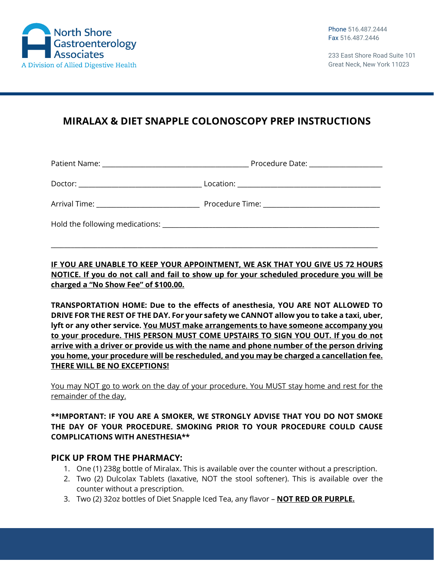

233 East Shore Road Suite 101 Great Neck, New York 11023

# **MIRALAX & DIET SNAPPLE COLONOSCOPY PREP INSTRUCTIONS**

| Arrival Time: _______________________________ |  |
|-----------------------------------------------|--|
|                                               |  |

**IF YOU ARE UNABLE TO KEEP YOUR APPOINTMENT, WE ASK THAT YOU GIVE US 72 HOURS NOTICE. If you do not call and fail to show up for your scheduled procedure you will be charged a "No Show Fee" of \$100.00.**

\_\_\_\_\_\_\_\_\_\_\_\_\_\_\_\_\_\_\_\_\_\_\_\_\_\_\_\_\_\_\_\_\_\_\_\_\_\_\_\_\_\_\_\_\_\_\_\_\_\_\_\_\_\_\_\_\_\_\_\_\_\_\_\_\_\_\_\_\_\_\_\_\_\_\_\_\_\_\_\_\_\_\_\_\_\_\_\_\_\_\_\_\_\_\_\_\_\_

**TRANSPORTATION HOME: Due to the effects of anesthesia, YOU ARE NOT ALLOWED TO DRIVE FOR THE REST OF THE DAY. For your safety we CANNOT allow you to take a taxi, uber, lyft or any other service. You MUST make arrangements to have someone accompany you to your procedure. THIS PERSON MUST COME UPSTAIRS TO SIGN YOU OUT. If you do not arrive with a driver or provide us with the name and phone number of the person driving you home, your procedure will be rescheduled, and you may be charged a cancellation fee. THERE WILL BE NO EXCEPTIONS!**

You may NOT go to work on the day of your procedure. You MUST stay home and rest for the remainder of the day.

#### **\*\*IMPORTANT: IF YOU ARE A SMOKER, WE STRONGLY ADVISE THAT YOU DO NOT SMOKE THE DAY OF YOUR PROCEDURE. SMOKING PRIOR TO YOUR PROCEDURE COULD CAUSE COMPLICATIONS WITH ANESTHESIA\*\***

#### **PICK UP FROM THE PHARMACY:**

- 1. One (1) 238g bottle of Miralax. This is available over the counter without a prescription.
- 2. Two (2) Dulcolax Tablets (laxative, NOT the stool softener). This is available over the counter without a prescription.
- 3. Two (2) 32oz bottles of Diet Snapple Iced Tea, any flavor **NOT RED OR PURPLE.**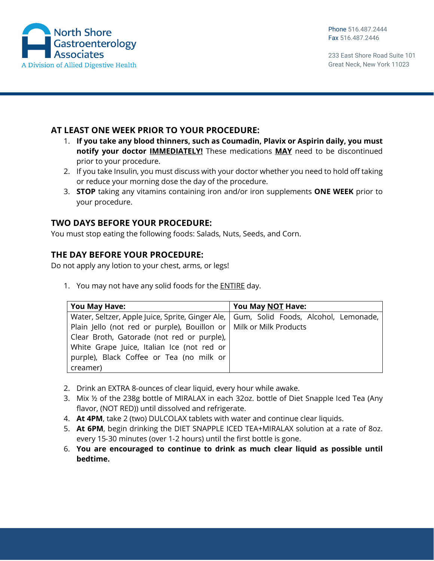

233 East Shore Road Suite 101 Great Neck, New York 11023

### **AT LEAST ONE WEEK PRIOR TO YOUR PROCEDURE:**

- 1. **If you take any blood thinners, such as Coumadin, Plavix or Aspirin daily, you must notify your doctor IMMEDIATELY!** These medications **MAY** need to be discontinued prior to your procedure.
- 2. If you take Insulin, you must discuss with your doctor whether you need to hold off taking or reduce your morning dose the day of the procedure.
- 3. **STOP** taking any vitamins containing iron and/or iron supplements **ONE WEEK** prior to your procedure.

### **TWO DAYS BEFORE YOUR PROCEDURE:**

You must stop eating the following foods: Salads, Nuts, Seeds, and Corn.

#### **THE DAY BEFORE YOUR PROCEDURE:**

Do not apply any lotion to your chest, arms, or legs!

1. You may not have any solid foods for the ENTIRE day.

| You May Have:                                                                           | You May NOT Have: |
|-----------------------------------------------------------------------------------------|-------------------|
| Water, Seltzer, Apple Juice, Sprite, Ginger Ale,   Gum, Solid Foods, Alcohol, Lemonade, |                   |
| Plain Jello (not red or purple), Bouillon or   Milk or Milk Products                    |                   |
| Clear Broth, Gatorade (not red or purple),                                              |                   |
| White Grape Juice, Italian Ice (not red or                                              |                   |
| purple), Black Coffee or Tea (no milk or                                                |                   |
| creamer)                                                                                |                   |

- 2. Drink an EXTRA 8‐ounces of clear liquid, every hour while awake.
- 3. Mix ½ of the 238g bottle of MIRALAX in each 32oz. bottle of Diet Snapple Iced Tea (Any flavor, (NOT RED)) until dissolved and refrigerate.
- 4. **At 4PM**, take 2 (two) DULCOLAX tablets with water and continue clear liquids.
- 5. **At 6PM**, begin drinking the DIET SNAPPLE ICED TEA+MIRALAX solution at a rate of 8oz. every 15‐30 minutes (over 1‐2 hours) until the first bottle is gone.
- 6. **You are encouraged to continue to drink as much clear liquid as possible until bedtime.**